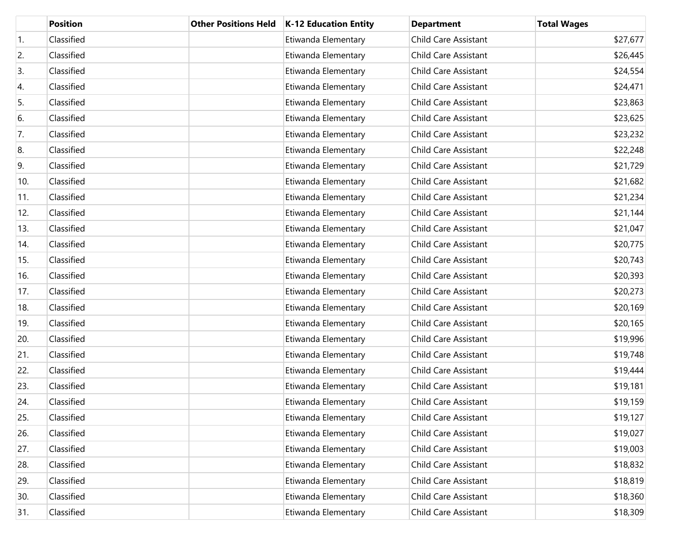|     | <b>Position</b> | <b>Other Positions Held</b> | K-12 Education Entity | <b>Department</b>           | <b>Total Wages</b> |
|-----|-----------------|-----------------------------|-----------------------|-----------------------------|--------------------|
| 1.  | Classified      |                             | Etiwanda Elementary   | <b>Child Care Assistant</b> | \$27,677           |
| 2.  | Classified      |                             | Etiwanda Elementary   | <b>Child Care Assistant</b> | \$26,445           |
| 3.  | Classified      |                             | Etiwanda Elementary   | <b>Child Care Assistant</b> | \$24,554           |
| 4.  | Classified      |                             | Etiwanda Elementary   | <b>Child Care Assistant</b> | \$24,471           |
| 5.  | Classified      |                             | Etiwanda Elementary   | <b>Child Care Assistant</b> | \$23,863           |
| 6.  | Classified      |                             | Etiwanda Elementary   | <b>Child Care Assistant</b> | \$23,625           |
| 7.  | Classified      |                             | Etiwanda Elementary   | <b>Child Care Assistant</b> | \$23,232           |
| 8.  | Classified      |                             | Etiwanda Elementary   | <b>Child Care Assistant</b> | \$22,248           |
| 9.  | Classified      |                             | Etiwanda Elementary   | <b>Child Care Assistant</b> | \$21,729           |
| 10. | Classified      |                             | Etiwanda Elementary   | <b>Child Care Assistant</b> | \$21,682           |
| 11. | Classified      |                             | Etiwanda Elementary   | <b>Child Care Assistant</b> | \$21,234           |
| 12. | Classified      |                             | Etiwanda Elementary   | <b>Child Care Assistant</b> | \$21,144           |
| 13. | Classified      |                             | Etiwanda Elementary   | <b>Child Care Assistant</b> | \$21,047           |
| 14. | Classified      |                             | Etiwanda Elementary   | <b>Child Care Assistant</b> | \$20,775           |
| 15. | Classified      |                             | Etiwanda Elementary   | <b>Child Care Assistant</b> | \$20,743           |
| 16. | Classified      |                             | Etiwanda Elementary   | <b>Child Care Assistant</b> | \$20,393           |
| 17. | Classified      |                             | Etiwanda Elementary   | <b>Child Care Assistant</b> | \$20,273           |
| 18. | Classified      |                             | Etiwanda Elementary   | <b>Child Care Assistant</b> | \$20,169           |
| 19. | Classified      |                             | Etiwanda Elementary   | <b>Child Care Assistant</b> | \$20,165           |
| 20. | Classified      |                             | Etiwanda Elementary   | <b>Child Care Assistant</b> | \$19,996           |
| 21. | Classified      |                             | Etiwanda Elementary   | <b>Child Care Assistant</b> | \$19,748           |
| 22. | Classified      |                             | Etiwanda Elementary   | <b>Child Care Assistant</b> | \$19,444           |
| 23. | Classified      |                             | Etiwanda Elementary   | <b>Child Care Assistant</b> | \$19,181           |
| 24. | Classified      |                             | Etiwanda Elementary   | <b>Child Care Assistant</b> | \$19,159           |
| 25. | Classified      |                             | Etiwanda Elementary   | <b>Child Care Assistant</b> | \$19,127           |
| 26. | Classified      |                             | Etiwanda Elementary   | <b>Child Care Assistant</b> | \$19,027           |
| 27. | Classified      |                             | Etiwanda Elementary   | <b>Child Care Assistant</b> | \$19,003           |
| 28. | Classified      |                             | Etiwanda Elementary   | <b>Child Care Assistant</b> | \$18,832           |
| 29. | Classified      |                             | Etiwanda Elementary   | <b>Child Care Assistant</b> | \$18,819           |
| 30. | Classified      |                             | Etiwanda Elementary   | <b>Child Care Assistant</b> | \$18,360           |
| 31. | Classified      |                             | Etiwanda Elementary   | Child Care Assistant        | \$18,309           |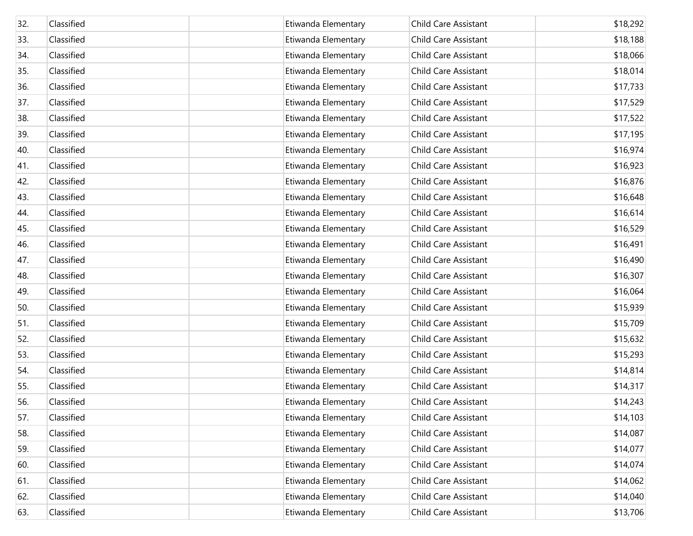| 32. | Classified | Etiwanda Elementary | <b>Child Care Assistant</b> | \$18,292 |
|-----|------------|---------------------|-----------------------------|----------|
| 33. | Classified | Etiwanda Elementary | <b>Child Care Assistant</b> | \$18,188 |
| 34. | Classified | Etiwanda Elementary | <b>Child Care Assistant</b> | \$18,066 |
| 35. | Classified | Etiwanda Elementary | <b>Child Care Assistant</b> | \$18,014 |
| 36. | Classified | Etiwanda Elementary | <b>Child Care Assistant</b> | \$17,733 |
| 37. | Classified | Etiwanda Elementary | <b>Child Care Assistant</b> | \$17,529 |
| 38. | Classified | Etiwanda Elementary | <b>Child Care Assistant</b> | \$17,522 |
| 39. | Classified | Etiwanda Elementary | <b>Child Care Assistant</b> | \$17,195 |
| 40. | Classified | Etiwanda Elementary | <b>Child Care Assistant</b> | \$16,974 |
| 41. | Classified | Etiwanda Elementary | <b>Child Care Assistant</b> | \$16,923 |
| 42. | Classified | Etiwanda Elementary | <b>Child Care Assistant</b> | \$16,876 |
| 43. | Classified | Etiwanda Elementary | <b>Child Care Assistant</b> | \$16,648 |
| 44. | Classified | Etiwanda Elementary | <b>Child Care Assistant</b> | \$16,614 |
| 45. | Classified | Etiwanda Elementary | <b>Child Care Assistant</b> | \$16,529 |
| 46. | Classified | Etiwanda Elementary | <b>Child Care Assistant</b> | \$16,491 |
| 47. | Classified | Etiwanda Elementary | <b>Child Care Assistant</b> | \$16,490 |
| 48. | Classified | Etiwanda Elementary | <b>Child Care Assistant</b> | \$16,307 |
| 49. | Classified | Etiwanda Elementary | <b>Child Care Assistant</b> | \$16,064 |
| 50. | Classified | Etiwanda Elementary | <b>Child Care Assistant</b> | \$15,939 |
| 51. | Classified | Etiwanda Elementary | <b>Child Care Assistant</b> | \$15,709 |
| 52. | Classified | Etiwanda Elementary | <b>Child Care Assistant</b> | \$15,632 |
| 53. | Classified | Etiwanda Elementary | <b>Child Care Assistant</b> | \$15,293 |
| 54. | Classified | Etiwanda Elementary | <b>Child Care Assistant</b> | \$14,814 |
| 55. | Classified | Etiwanda Elementary | <b>Child Care Assistant</b> | \$14,317 |
| 56. | Classified | Etiwanda Elementary | <b>Child Care Assistant</b> | \$14,243 |
| 57. | Classified | Etiwanda Elementary | <b>Child Care Assistant</b> | \$14,103 |
| 58. | Classified | Etiwanda Elementary | <b>Child Care Assistant</b> | \$14,087 |
| 59. | Classified | Etiwanda Elementary | <b>Child Care Assistant</b> | \$14,077 |
| 60. | Classified | Etiwanda Elementary | <b>Child Care Assistant</b> | \$14,074 |
| 61. | Classified | Etiwanda Elementary | <b>Child Care Assistant</b> | \$14,062 |
| 62. | Classified | Etiwanda Elementary | <b>Child Care Assistant</b> | \$14,040 |
| 63. | Classified | Etiwanda Elementary | Child Care Assistant        | \$13,706 |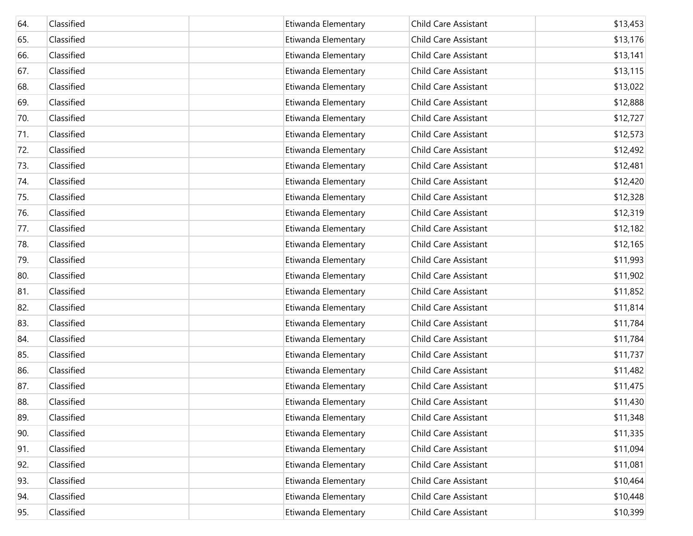| 64. | Classified | Etiwanda Elementary | <b>Child Care Assistant</b> | \$13,453 |
|-----|------------|---------------------|-----------------------------|----------|
| 65. | Classified | Etiwanda Elementary | <b>Child Care Assistant</b> | \$13,176 |
| 66. | Classified | Etiwanda Elementary | <b>Child Care Assistant</b> | \$13,141 |
| 67. | Classified | Etiwanda Elementary | <b>Child Care Assistant</b> | \$13,115 |
| 68. | Classified | Etiwanda Elementary | <b>Child Care Assistant</b> | \$13,022 |
| 69. | Classified | Etiwanda Elementary | Child Care Assistant        | \$12,888 |
| 70. | Classified | Etiwanda Elementary | <b>Child Care Assistant</b> | \$12,727 |
| 71. | Classified | Etiwanda Elementary | Child Care Assistant        | \$12,573 |
| 72. | Classified | Etiwanda Elementary | <b>Child Care Assistant</b> | \$12,492 |
| 73. | Classified | Etiwanda Elementary | <b>Child Care Assistant</b> | \$12,481 |
| 74. | Classified | Etiwanda Elementary | <b>Child Care Assistant</b> | \$12,420 |
| 75. | Classified | Etiwanda Elementary | <b>Child Care Assistant</b> | \$12,328 |
| 76. | Classified | Etiwanda Elementary | <b>Child Care Assistant</b> | \$12,319 |
| 77. | Classified | Etiwanda Elementary | Child Care Assistant        | \$12,182 |
| 78. | Classified | Etiwanda Elementary | <b>Child Care Assistant</b> | \$12,165 |
| 79. | Classified | Etiwanda Elementary | Child Care Assistant        | \$11,993 |
| 80. | Classified | Etiwanda Elementary | <b>Child Care Assistant</b> | \$11,902 |
| 81. | Classified | Etiwanda Elementary | Child Care Assistant        | \$11,852 |
| 82. | Classified | Etiwanda Elementary | <b>Child Care Assistant</b> | \$11,814 |
| 83. | Classified | Etiwanda Elementary | Child Care Assistant        | \$11,784 |
| 84. | Classified | Etiwanda Elementary | <b>Child Care Assistant</b> | \$11,784 |
| 85. | Classified | Etiwanda Elementary | Child Care Assistant        | \$11,737 |
| 86. | Classified | Etiwanda Elementary | Child Care Assistant        | \$11,482 |
| 87. | Classified | Etiwanda Elementary | Child Care Assistant        | \$11,475 |
| 88. | Classified | Etiwanda Elementary | <b>Child Care Assistant</b> | \$11,430 |
| 89. | Classified | Etiwanda Elementary | <b>Child Care Assistant</b> | \$11,348 |
| 90. | Classified | Etiwanda Elementary | Child Care Assistant        | \$11,335 |
| 91. | Classified | Etiwanda Elementary | Child Care Assistant        | \$11,094 |
| 92. | Classified | Etiwanda Elementary | Child Care Assistant        | \$11,081 |
| 93. | Classified | Etiwanda Elementary | Child Care Assistant        | \$10,464 |
| 94. | Classified | Etiwanda Elementary | Child Care Assistant        | \$10,448 |
| 95. | Classified | Etiwanda Elementary | Child Care Assistant        | \$10,399 |